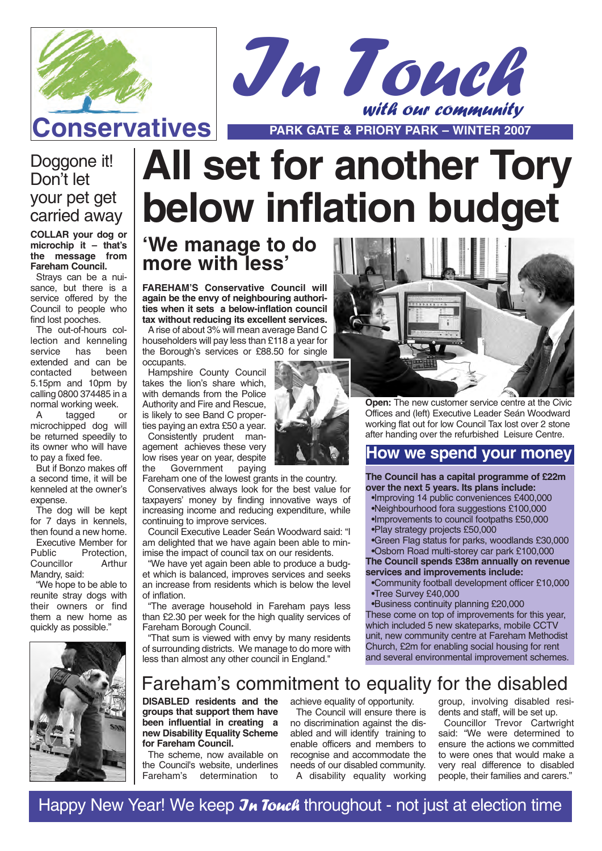



### Doggone it! Don't let your pet get carried away

**COLLAR your dog or microchip it – that's the message from Fareham Council.**

Strays can be a nuisance, but there is a service offered by the Council to people who find lost pooches.

The out-of-hours collection and kenneling<br>service has been service has extended and can be contacted between 5.15pm and 10pm by calling 0800 374485 in a normal working week.<br>A tagged or

tagged microchipped dog will be returned speedily to its owner who will have to pay a fixed fee.

But if Bonzo makes off a second time, it will be kenneled at the owner's expense.

The dog will be kept for 7 days in kennels, then found a new home. Executive Member for<br>Public Protection. Protection,<br>Arthur Councillor Mandry, said:

"We hope to be able to reunite stray dogs with their owners or find them a new home as quickly as possible."



# **All set for another Tory below inflation budget**

## **'We manage to do more with less'**

**FAREHAM'S Conservative Council will again be the envy of neighbouring authorities when it sets a below-inflation council tax without reducing its excellent services.** A rise of about 3% will mean average Band C

householders will pay less than £118 a year for the Borough's services or £88.50 for single occupants.

Hampshire County Council takes the lion's share which, with demands from the Police Authority and Fire and Rescue, is likely to see Band C properties paying an extra £50 a year.

Consistently prudent management achieves these very low rises year on year, despite<br>the Government paving Government

Fareham one of the lowest grants in the country.

Conservatives always look for the best value for taxpayers' money by finding innovative ways of increasing income and reducing expenditure, while continuing to improve services.

Council Executive Leader Seán Woodward said: "I am delighted that we have again been able to minimise the impact of council tax on our residents.

"We have yet again been able to produce a budget which is balanced, improves services and seeks an increase from residents which is below the level of inflation.

"The average household in Fareham pays less than £2.30 per week for the high quality services of Fareham Borough Council.

"That sum is viewed with envy by many residents of surrounding districts. We manage to do more with less than almost any other council in England."



**Open:** The new customer service centre at the Civic Offices and (left) Executive Leader Seán Woodward working flat out for low Council Tax lost over 2 stone after handing over the refurbished Leisure Centre.

### **How we spend your money**

**The Council has a capital programme of £22m over the next 5 years. Its plans include:**

- •Improving 14 public conveniences £400,000
- •Neighbourhood fora suggestions £100,000
- •Improvements to council footpaths £50,000
- •Play strategy projects £50,000

•Green Flag status for parks, woodlands £30,000 •Osborn Road multi-storey car park £100,000

**The Council spends £38m annually on revenue services and improvements include:**

•Community football development officer £10,000 •Tree Survey £40,000

•Business continuity planning £20,000 These come on top of improvements for this year, which included 5 new skateparks, mobile CCTV unit, new community centre at Fareham Methodist Church, £2m for enabling social housing for rent and several environmental improvement schemes.

## Fareham's commitment to equality for the disabled

**DISABLED residents and the groups that support them have been influential in creating a new Disability Equality Scheme for Fareham Council.** 

The scheme, now available on the Council's website, underlines Fareham's determination to

achieve equality of opportunity. The Council will ensure there is

no discrimination against the disabled and will identify training to enable officers and members to recognise and accommodate the needs of our disabled community. A disability equality working group, involving disabled residents and staff, will be set up.

Councillor Trevor Cartwright said: "We were determined to ensure the actions we committed to were ones that would make a very real difference to disabled people, their families and carers."

Happy New Year! We keep  $\mathcal{J}_h$  Touch throughout - not just at election time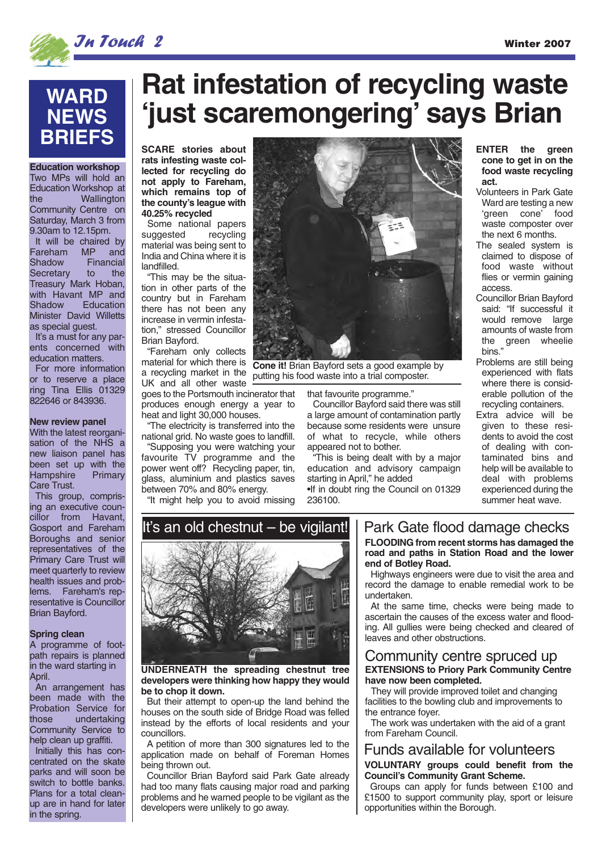

## **WARD NEWS BRIEFS**

**Education workshop**

Two MPs will hold an Education Workshop at the Wallington Community Centre on Saturday, March 3 from 9.30am to 12.15pm.

It will be chaired by Fareham MP and Shadow Financial<br>Secretary to the Secretary to Treasury Mark Hoban, with Havant MP and<br>Shadow Education Education Minister David Willetts as special guest.

It's a must for any parents concerned with education matters.

For more information or to reserve a place ring Tina Ellis 01329 822646 or 843936.

#### **New review panel**

With the latest reorganisation of the NHS a new liaison panel has been set up with the<br>Hampshire Primary Hampshire Care Trust.

This group, comprising an executive councillor from Havant, Gosport and Fareham Boroughs and senior representatives of the Primary Care Trust will meet quarterly to review health issues and problems. Fareham's representative is Councillor Brian Bayford.

#### **Spring clean**

A programme of footpath repairs is planned in the ward starting in April.

An arrangement has been made with the Probation Service for<br>those undertaking undertaking Community Service to help clean up graffiti.

Initially this has concentrated on the skate parks and will soon be .<br>switch to bottle banks. Plans for a total cleanup are in hand for later in the spring.

# **Rat infestation of recycling waste 'just scaremongering' says Brian**

**SCARE stories about rats infesting waste collected for recycling do not apply to Fareham, which remains top of the county's league with 40.25% recycled**

Some national papers suggested recycling material was being sent to India and China where it is landfilled.

"This may be the situation in other parts of the country but in Fareham there has not been any increase in vermin infestation," stressed Councillor Brian Bayford.

"Fareham only collects material for which there is a recycling market in the UK and all other waste goes to the Portsmouth incinerator that produces enough energy a year to heat and light 30,000 houses.

"The electricity is transferred into the national grid. No waste goes to landfill.

"Supposing you were watching your favourite TV programme and the power went off? Recycling paper, tin, glass, aluminium and plastics saves between 70% and 80% energy.

"It might help you to avoid missing



**Cone it!** Brian Bayford sets a good example by putting his food waste into a trial composter.

that favourite programme."

Councillor Bayford said there was still a large amount of contamination partly because some residents were unsure of what to recycle, while others appeared not to bother.

"This is being dealt with by a major education and advisory campaign starting in April," he added •If in doubt ring the Council on 01329 236100.

#### **ENTER the green cone to get in on the food waste recycling act.**

- Volunteers in Park Gate Ward are testing a new 'green cone' food waste composter over the next 6 months.
- The sealed system is claimed to dispose of food waste without flies or vermin gaining access.
- Councillor Brian Bayford said: "If successful it would remove large amounts of waste from the green wheelie bins."
- Problems are still being experienced with flats where there is considerable pollution of the recycling containers.
- Extra advice will be given to these residents to avoid the cost of dealing with contaminated bins and help will be available to deal with problems experienced during the summer heat wave.

# It's an old chestnut – be vigilant!



**UNDERNEATH the spreading chestnut tree developers were thinking how happy they would be to chop it down.**

But their attempt to open-up the land behind the houses on the south side of Bridge Road was felled instead by the efforts of local residents and your councillors.

A petition of more than 300 signatures led to the application made on behalf of Foreman Homes being thrown out.

Councillor Brian Bayford said Park Gate already had too many flats causing major road and parking problems and he warned people to be vigilant as the developers were unlikely to go away.

### Park Gate flood damage checks

**FLOODING from recent storms has damaged the road and paths in Station Road and the lower end of Botley Road.**

Highways engineers were due to visit the area and record the damage to enable remedial work to be undertaken.

At the same time, checks were being made to ascertain the causes of the excess water and flooding. All gullies were being checked and cleared of leaves and other obstructions.

#### **EXTENSIONS to Priory Park Community Centre have now been completed.** Community centre spruced up

They will provide improved toilet and changing facilities to the bowling club and improvements to the entrance foyer.

The work was undertaken with the aid of a grant from Fareham Council.

### **VOLUNTARY groups could benefit from the** Funds available for volunteers

**Council's Community Grant Scheme.**  Groups can apply for funds between £100 and £1500 to support community play, sport or leisure opportunities within the Borough.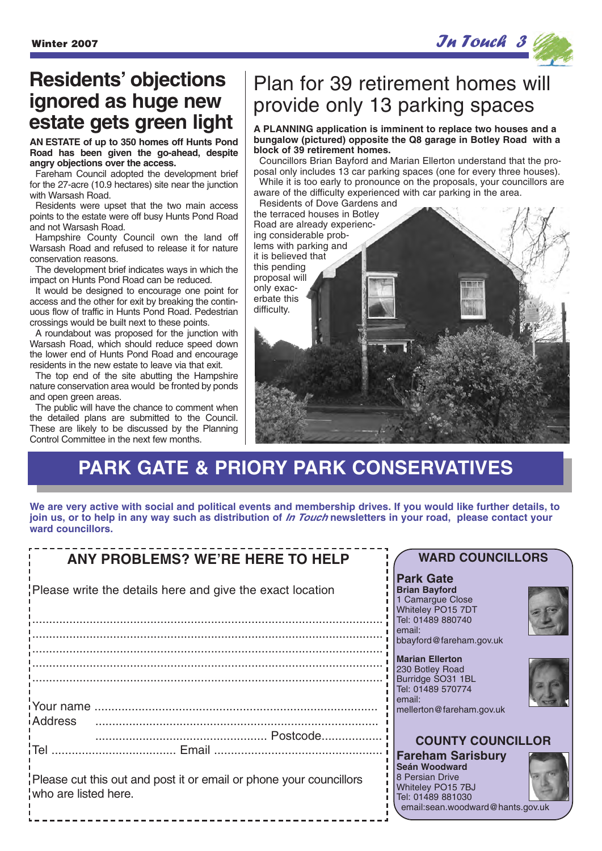

# **Residents' objections ignored as huge new estate gets green light**

**AN ESTATE of up to 350 homes off Hunts Pond Road has been given the go-ahead, despite angry objections over the access.**

Fareham Council adopted the development brief for the 27-acre (10.9 hectares) site near the junction with Warsash Road.

Residents were upset that the two main access points to the estate were off busy Hunts Pond Road and not Warsash Road.

Hampshire County Council own the land off Warsash Road and refused to release it for nature conservation reasons.

The development brief indicates ways in which the impact on Hunts Pond Road can be reduced.

It would be designed to encourage one point for access and the other for exit by breaking the continuous flow of traffic in Hunts Pond Road. Pedestrian crossings would be built next to these points.

A roundabout was proposed for the junction with Warsash Road, which should reduce speed down the lower end of Hunts Pond Road and encourage residents in the new estate to leave via that exit.

The top end of the site abutting the Hampshire nature conservation area would be fronted by ponds and open green areas.

The public will have the chance to comment when the detailed plans are submitted to the Council. These are likely to be discussed by the Planning Control Committee in the next few months.

# Plan for 39 retirement homes will provide only 13 parking spaces

**A PLANNING application is imminent to replace two houses and a bungalow (pictured) opposite the Q8 garage in Botley Road with a block of 39 retirement homes.** 

Councillors Brian Bayford and Marian Ellerton understand that the proposal only includes 13 car parking spaces (one for every three houses). While it is too early to pronounce on the proposals, your councillors are

aware of the difficulty experienced with car parking in the area. Residents of Dove Gardens and



email:sean.woodward@hants.gov.uk

# **PARK GATE & PRIORY PARK CONSERVATIVES**

**We are very active with social and political events and membership drives. If you would like further details, to join us, or to help in any way such as distribution of In Touch newsletters in your road, please contact your ward councillors.**

| <b>ANY PROBLEMS? WE'RE HERE TO HELP</b>                                                    | <b>WARD COUNCILLORS</b>                                                                                                   |
|--------------------------------------------------------------------------------------------|---------------------------------------------------------------------------------------------------------------------------|
| Please write the details here and give the exact location                                  | <b>Park Gate</b><br><b>Brian Bayford</b><br>1 Camargue Close<br>Whiteley PO15 7DT<br>Tel: 01489 880740<br>email:          |
|                                                                                            | bbayford@fareham.gov.uk                                                                                                   |
|                                                                                            | <b>Marian Ellerton</b><br>230 Botley Road<br>Burridge SO31 1BL<br>Tel: 01489 570774<br>email:<br>mellerton@fareham.gov.uk |
| iAddress                                                                                   | <b>COUNTY COUNCILLOR</b>                                                                                                  |
| Please cut this out and post it or email or phone your councillors<br>who are listed here. | <b>Fareham Sarisbury</b><br>Seán Woodward<br>8 Persian Drive<br>Whiteley PO15 7BJ<br>Tel: 01489 881030                    |